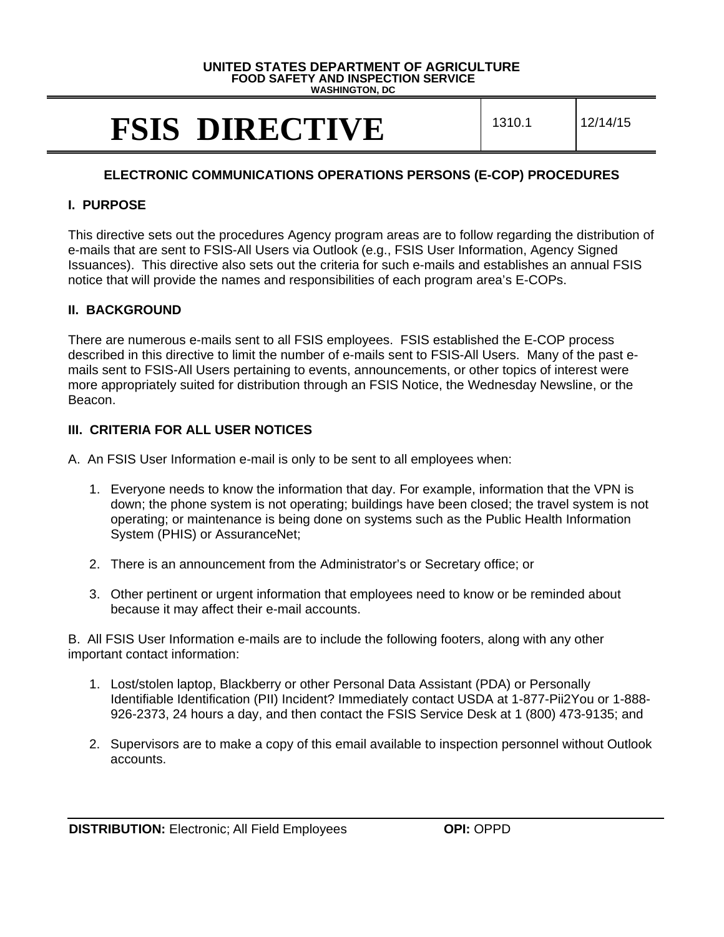#### **UNITED STATES DEPARTMENT OF AGRICULTURE FOOD SAFETY AND INSPECTION SERVICE**

**WASHINGTON, DC**

# **FSIS DIRECTIVE** 1310.1 12/14/15

## **ELECTRONIC COMMUNICATIONS OPERATIONS PERSONS (E-COP) PROCEDURES**

## **I. PURPOSE**

This directive sets out the procedures Agency program areas are to follow regarding the distribution of e-mails that are sent to FSIS-All Users via Outlook (e.g., FSIS User Information, Agency Signed Issuances). This directive also sets out the criteria for such e-mails and establishes an annual FSIS notice that will provide the names and responsibilities of each program area's E-COPs.

## **II. BACKGROUND**

There are numerous e-mails sent to all FSIS employees. FSIS established the E-COP process described in this directive to limit the number of e-mails sent to FSIS-All Users. Many of the past emails sent to FSIS-All Users pertaining to events, announcements, or other topics of interest were more appropriately suited for distribution through an FSIS Notice, the Wednesday Newsline, or the Beacon.

## **III. CRITERIA FOR ALL USER NOTICES**

- A. An FSIS User Information e-mail is only to be sent to all employees when:
	- 1. Everyone needs to know the information that day. For example, information that the VPN is down; the phone system is not operating; buildings have been closed; the travel system is not operating; or maintenance is being done on systems such as the Public Health Information System (PHIS) or AssuranceNet;
	- 2. There is an announcement from the Administrator's or Secretary office; or
	- 3. Other pertinent or urgent information that employees need to know or be reminded about because it may affect their e-mail accounts.

B. All FSIS User Information e-mails are to include the following footers, along with any other important contact information:

- 1. Lost/stolen laptop, Blackberry or other Personal Data Assistant (PDA) or Personally Identifiable Identification (PII) Incident? Immediately contact USDA at 1-877-Pii2You or 1-888- 926-2373, 24 hours a day, and then contact the FSIS Service Desk at 1 (800) 473-9135; and
- 2. Supervisors are to make a copy of this email available to inspection personnel without Outlook accounts.